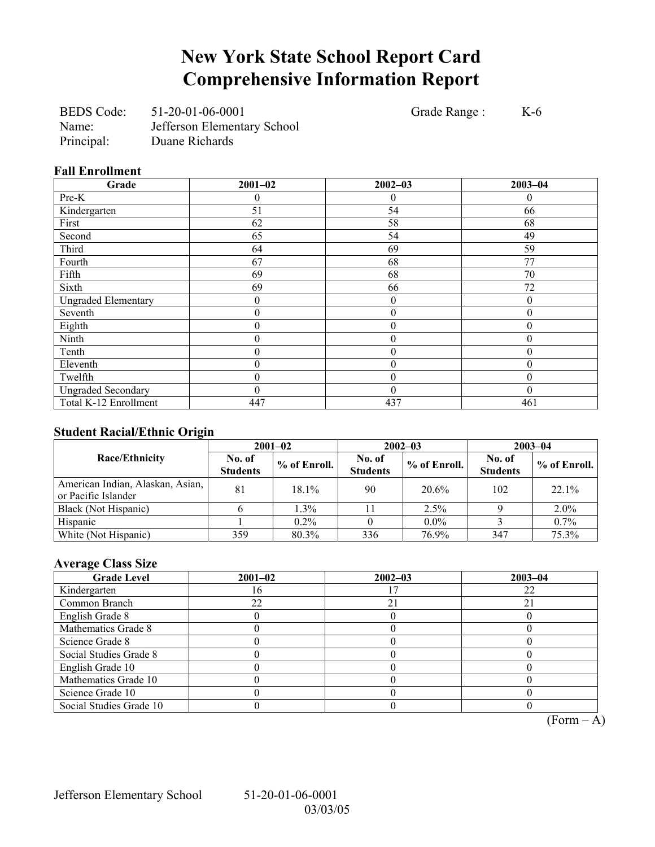# **New York State School Report Card Comprehensive Information Report**

BEDS Code: 51-20-01-06-0001 Grade Range : K-6 Name: Jefferson Elementary School Principal: Duane Richards

### **Fall Enrollment**

| **** ***** **********      |                  |                  |             |  |  |  |  |  |  |
|----------------------------|------------------|------------------|-------------|--|--|--|--|--|--|
| Grade                      | $2001 - 02$      | $2002 - 03$      | $2003 - 04$ |  |  |  |  |  |  |
| Pre-K                      | 0                | $\overline{0}$   | $\theta$    |  |  |  |  |  |  |
| Kindergarten               | 51               | 54               | 66          |  |  |  |  |  |  |
| First                      | 62               | 58               | 68          |  |  |  |  |  |  |
| Second                     | 65               | 54               | 49          |  |  |  |  |  |  |
| Third                      | 64               | 69               | 59          |  |  |  |  |  |  |
| Fourth                     | 67               | 68               | 77          |  |  |  |  |  |  |
| Fifth                      | 69               | 68               | 70          |  |  |  |  |  |  |
| Sixth                      | 69               | 66               | 72          |  |  |  |  |  |  |
| <b>Ungraded Elementary</b> | $\boldsymbol{0}$ | $\overline{0}$   | $\theta$    |  |  |  |  |  |  |
| Seventh                    | $\theta$         | $\boldsymbol{0}$ | $\theta$    |  |  |  |  |  |  |
| Eighth                     | 0                | $\boldsymbol{0}$ | $\theta$    |  |  |  |  |  |  |
| Ninth                      | $\boldsymbol{0}$ | $\boldsymbol{0}$ | $\theta$    |  |  |  |  |  |  |
| Tenth                      | 0                | $\theta$         | $\theta$    |  |  |  |  |  |  |
| Eleventh                   | 0                | $\theta$         | 0           |  |  |  |  |  |  |
| Twelfth                    | 0                | $\boldsymbol{0}$ | $\Omega$    |  |  |  |  |  |  |
| <b>Ungraded Secondary</b>  | 0                | $\theta$         | $\theta$    |  |  |  |  |  |  |
| Total K-12 Enrollment      | 447              | 437              | 461         |  |  |  |  |  |  |

#### **Student Racial/Ethnic Origin**

| ັ                                                       |                           | $2001 - 02$    |                           | $2002 - 03$  | $2003 - 04$               |              |
|---------------------------------------------------------|---------------------------|----------------|---------------------------|--------------|---------------------------|--------------|
| <b>Race/Ethnicity</b>                                   | No. of<br><b>Students</b> | $%$ of Enroll. | No. of<br><b>Students</b> | % of Enroll. | No. of<br><b>Students</b> | % of Enroll. |
| American Indian, Alaskan, Asian,<br>or Pacific Islander | 81                        | $18.1\%$       | 90                        | 20.6%        | 102                       | 22.1%        |
| Black (Not Hispanic)                                    |                           | $1.3\%$        |                           | 2.5%         |                           | 2.0%         |
| Hispanic                                                |                           | $0.2\%$        |                           | $0.0\%$      |                           | $0.7\%$      |
| White (Not Hispanic)                                    | 359                       | 80.3%          | 336                       | 76.9%        | 347                       | 75.3%        |

## **Average Class Size**

| <b>Grade Level</b>      | $2001 - 02$ | $2002 - 03$ | $2003 - 04$ |
|-------------------------|-------------|-------------|-------------|
| Kindergarten            | b           |             | 22          |
| Common Branch           | 22          | 21          |             |
| English Grade 8         |             |             |             |
| Mathematics Grade 8     |             |             |             |
| Science Grade 8         |             |             |             |
| Social Studies Grade 8  |             |             |             |
| English Grade 10        |             |             |             |
| Mathematics Grade 10    |             |             |             |
| Science Grade 10        |             |             |             |
| Social Studies Grade 10 |             |             |             |

 $\overline{(Form - A)}$ 

Jefferson Elementary School 51-20-01-06-0001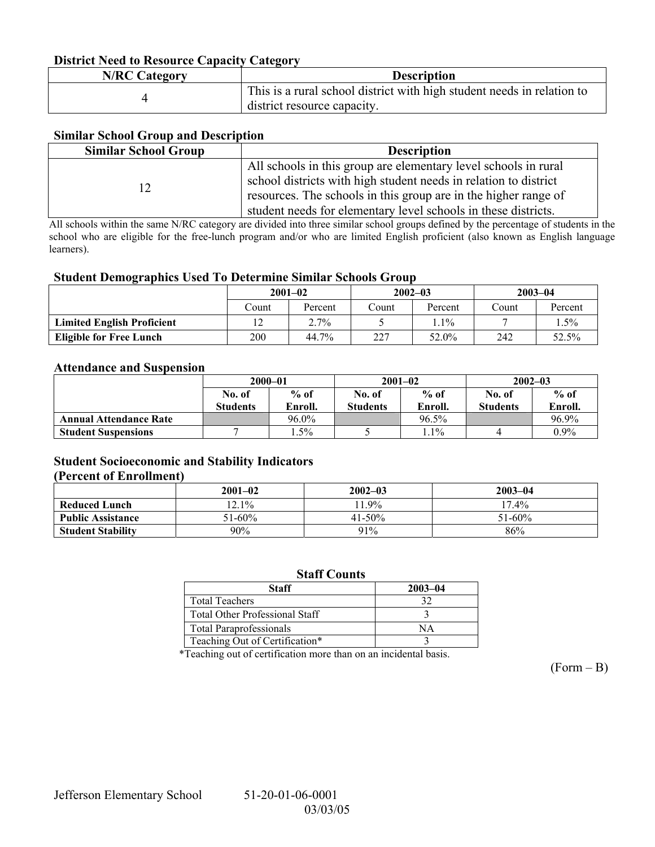### **District Need to Resource Capacity Category**

| <b>N/RC Category</b> | <b>Description</b>                                                     |
|----------------------|------------------------------------------------------------------------|
|                      | This is a rural school district with high student needs in relation to |
|                      | $\alpha$ district resource capacity.                                   |

### **Similar School Group and Description**

| <b>Similar School Group</b><br><b>Description</b>                                                                                                                                                                                                                        |  |
|--------------------------------------------------------------------------------------------------------------------------------------------------------------------------------------------------------------------------------------------------------------------------|--|
| All schools in this group are elementary level schools in rural<br>school districts with high student needs in relation to district<br>resources. The schools in this group are in the higher range of<br>student needs for elementary level schools in these districts. |  |

All schools within the same N/RC category are divided into three similar school groups defined by the percentage of students in the school who are eligible for the free-lunch program and/or who are limited English proficient (also known as English language learners).

#### **Student Demographics Used To Determine Similar Schools Group**

|                                   | $2001 - 02$ |         | $2002 - 03$ |         | $2003 - 04$ |         |
|-----------------------------------|-------------|---------|-------------|---------|-------------|---------|
|                                   | Count       | Percent | Count       | Percent | Count       | Percent |
| <b>Limited English Proficient</b> |             | $2.7\%$ |             | $.1\%$  |             | $.5\%$  |
| <b>Eligible for Free Lunch</b>    | 200         | 44.7%   | つつつ<br>∠∠   | 52.0%   | 242         | 52.5%   |

#### **Attendance and Suspension**

|                               | $2000 - 01$     |         |                 | $2001 - 02$ | $2002 - 03$     |         |
|-------------------------------|-----------------|---------|-----------------|-------------|-----------------|---------|
|                               | No. of          | $%$ of  | No. of          | $%$ of      | No. of          | $%$ of  |
|                               | <b>Students</b> | Enroll. | <b>Students</b> | Enroll.     | <b>Students</b> | Enroll. |
| <b>Annual Attendance Rate</b> |                 | 96.0%   |                 | 96.5%       |                 | 96.9%   |
| <b>Student Suspensions</b>    |                 | . . 5%  |                 | $1.1\%$     |                 | $0.9\%$ |

#### **Student Socioeconomic and Stability Indicators (Percent of Enrollment)**

|                          | $2001 - 02$ | $2002 - 03$ | $2003 - 04$ |
|--------------------------|-------------|-------------|-------------|
| <b>Reduced Lunch</b>     | $12.1\%$    | $1.9\%$     | $17.4\%$    |
| <b>Public Assistance</b> | $51 - 60\%$ | $41 - 50\%$ | $51 - 60\%$ |
| <b>Student Stability</b> | $90\%$      | 91%         | 86%         |

#### **Staff Counts**

| Staff                                 | $2003 - 04$ |
|---------------------------------------|-------------|
| <b>Total Teachers</b>                 |             |
| <b>Total Other Professional Staff</b> |             |
| <b>Total Paraprofessionals</b>        |             |
| Teaching Out of Certification*        |             |

\*Teaching out of certification more than on an incidental basis.

 $(Form - B)$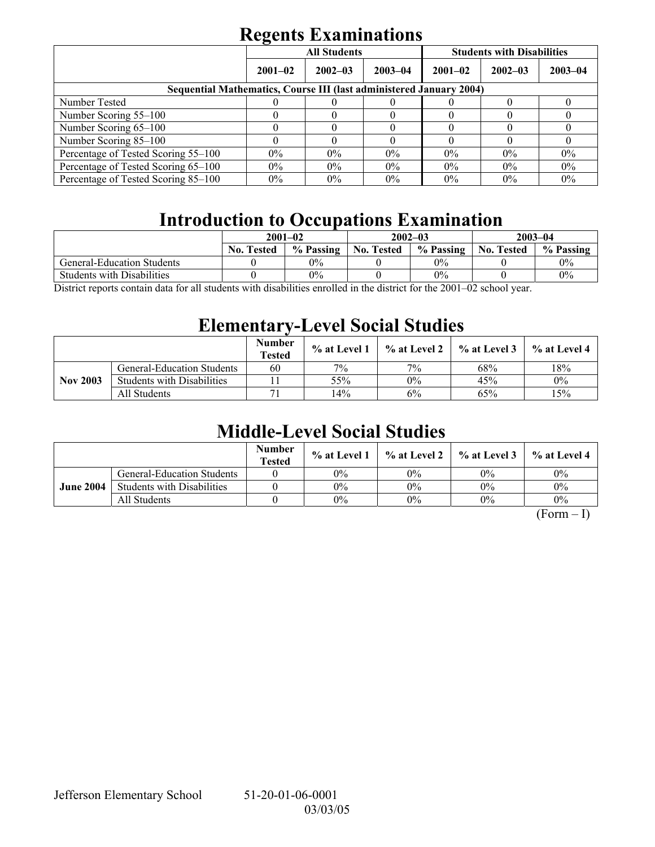# **Regents Examinations**

|                                                                            | $\overline{\phantom{0}}$ | <b>All Students</b> |             | <b>Students with Disabilities</b> |             |             |  |  |
|----------------------------------------------------------------------------|--------------------------|---------------------|-------------|-----------------------------------|-------------|-------------|--|--|
|                                                                            | $2001 - 02$              | $2002 - 03$         | $2003 - 04$ | $2001 - 02$                       | $2002 - 03$ | $2003 - 04$ |  |  |
| <b>Sequential Mathematics, Course III (last administered January 2004)</b> |                          |                     |             |                                   |             |             |  |  |
| Number Tested                                                              |                          |                     |             |                                   |             |             |  |  |
| Number Scoring 55–100                                                      |                          |                     |             |                                   |             |             |  |  |
| Number Scoring 65-100                                                      |                          |                     |             |                                   |             |             |  |  |
| Number Scoring 85-100                                                      |                          |                     |             |                                   |             |             |  |  |
| Percentage of Tested Scoring 55-100                                        | $0\%$                    | $0\%$               | $0\%$       | $0\%$                             | $0\%$       | 0%          |  |  |
| Percentage of Tested Scoring 65-100                                        | $0\%$                    | $0\%$               | $0\%$       | $0\%$                             | $0\%$       | 0%          |  |  |
| Percentage of Tested Scoring 85–100                                        | $0\%$                    | $0\%$               | $0\%$       | $0\%$                             | $0\%$       | $0\%$       |  |  |

# **Introduction to Occupations Examination**

|                                   | $2001 - 02$                                     |           |                   | $2002 - 03$ | $2003 - 04$       |           |
|-----------------------------------|-------------------------------------------------|-----------|-------------------|-------------|-------------------|-----------|
|                                   | <b>No. Tested</b>                               | % Passing | <b>No. Tested</b> | % Passing   | <b>No. Tested</b> | % Passing |
| <b>General-Education Students</b> |                                                 | 0%        |                   | $0\%$       |                   | $0\%$     |
| <b>Students with Disabilities</b> |                                                 | 0%        |                   | $0\%$       |                   | 0%        |
| $\mathbf{r}$<br>11                | $\cdot$ , $\cdot$ , $\cdot$ , $\cdot$ , $\cdot$ | $\cdots$  |                   | 0.00100     |                   |           |

District reports contain data for all students with disabilities enrolled in the district for the 2001–02 school year.

## **Elementary-Level Social Studies**

|                 |                                   | <b>Number</b><br><b>Tested</b> | $%$ at Level 1 | $\%$ at Level 2 | % at Level 3 | % at Level 4 |
|-----------------|-----------------------------------|--------------------------------|----------------|-----------------|--------------|--------------|
|                 | <b>General-Education Students</b> | 60                             | 7%             | 7%              | 68%          | 18%          |
| <b>Nov 2003</b> | <b>Students with Disabilities</b> |                                | 55%            | $0\%$           | 45%          | $0\%$        |
|                 | All Students                      |                                | 14%            | 6%              | 65%          | 15%          |

# **Middle-Level Social Studies**

|                  |                                   | <b>Number</b><br><b>Tested</b> | $\%$ at Level 1 |       | $\%$ at Level 2 $\%$ at Level 3 | $%$ at Level 4 |
|------------------|-----------------------------------|--------------------------------|-----------------|-------|---------------------------------|----------------|
| <b>June 2004</b> | <b>General-Education Students</b> |                                | $0\%$           | $0\%$ | $0\%$                           | $0\%$          |
|                  | <b>Students with Disabilities</b> |                                | $0\%$           | $0\%$ | $0\%$                           | $0\%$          |
|                  | All Students                      |                                | $0\%$           | $0\%$ | $0\%$                           | $0\%$          |